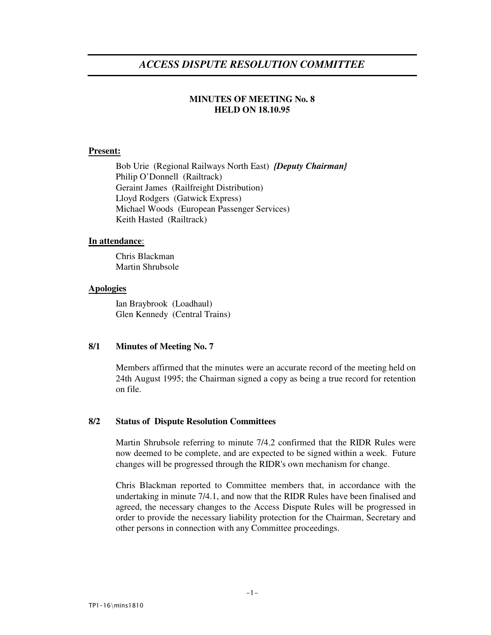# *ACCESS DISPUTE RESOLUTION COMMITTEE*

# **MINUTES OF MEETING No. 8 HELD ON 18.10.95**

#### **Present:**

Bob Urie (Regional Railways North East) *{Deputy Chairman}* Philip O'Donnell (Railtrack) Geraint James (Railfreight Distribution) Lloyd Rodgers (Gatwick Express) Michael Woods (European Passenger Services) Keith Hasted (Railtrack)

#### **In attendance**:

Chris Blackman Martin Shrubsole

#### **Apologies**

Ian Braybrook (Loadhaul) Glen Kennedy (Central Trains)

### **8/1 Minutes of Meeting No. 7**

Members affirmed that the minutes were an accurate record of the meeting held on 24th August 1995; the Chairman signed a copy as being a true record for retention on file.

#### **8/2 Status of Dispute Resolution Committees**

Martin Shrubsole referring to minute 7/4.2 confirmed that the RIDR Rules were now deemed to be complete, and are expected to be signed within a week. Future changes will be progressed through the RIDR's own mechanism for change.

Chris Blackman reported to Committee members that, in accordance with the undertaking in minute 7/4.1, and now that the RIDR Rules have been finalised and agreed, the necessary changes to the Access Dispute Rules will be progressed in order to provide the necessary liability protection for the Chairman, Secretary and other persons in connection with any Committee proceedings.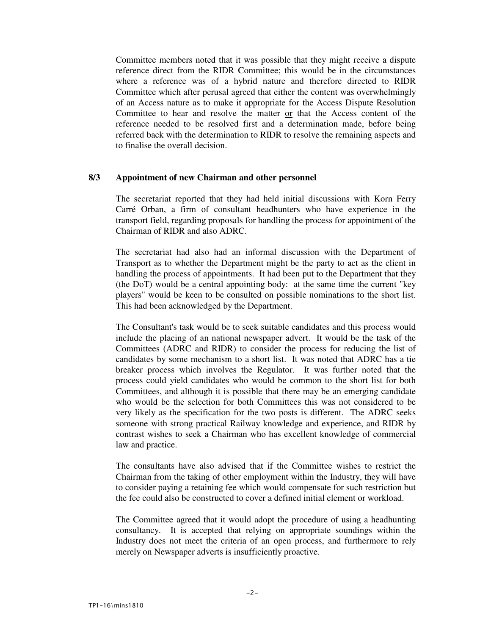Committee members noted that it was possible that they might receive a dispute reference direct from the RIDR Committee; this would be in the circumstances where a reference was of a hybrid nature and therefore directed to RIDR Committee which after perusal agreed that either the content was overwhelmingly of an Access nature as to make it appropriate for the Access Dispute Resolution Committee to hear and resolve the matter or that the Access content of the reference needed to be resolved first and a determination made, before being referred back with the determination to RIDR to resolve the remaining aspects and to finalise the overall decision.

#### **8/3 Appointment of new Chairman and other personnel**

The secretariat reported that they had held initial discussions with Korn Ferry Carré Orban, a firm of consultant headhunters who have experience in the transport field, regarding proposals for handling the process for appointment of the Chairman of RIDR and also ADRC.

The secretariat had also had an informal discussion with the Department of Transport as to whether the Department might be the party to act as the client in handling the process of appointments. It had been put to the Department that they (the DoT) would be a central appointing body: at the same time the current "key players" would be keen to be consulted on possible nominations to the short list. This had been acknowledged by the Department.

The Consultant's task would be to seek suitable candidates and this process would include the placing of an national newspaper advert. It would be the task of the Committees (ADRC and RIDR) to consider the process for reducing the list of candidates by some mechanism to a short list. It was noted that ADRC has a tie breaker process which involves the Regulator. It was further noted that the process could yield candidates who would be common to the short list for both Committees, and although it is possible that there may be an emerging candidate who would be the selection for both Committees this was not considered to be very likely as the specification for the two posts is different. The ADRC seeks someone with strong practical Railway knowledge and experience, and RIDR by contrast wishes to seek a Chairman who has excellent knowledge of commercial law and practice.

The consultants have also advised that if the Committee wishes to restrict the Chairman from the taking of other employment within the Industry, they will have to consider paying a retaining fee which would compensate for such restriction but the fee could also be constructed to cover a defined initial element or workload.

The Committee agreed that it would adopt the procedure of using a headhunting consultancy. It is accepted that relying on appropriate soundings within the Industry does not meet the criteria of an open process, and furthermore to rely merely on Newspaper adverts is insufficiently proactive.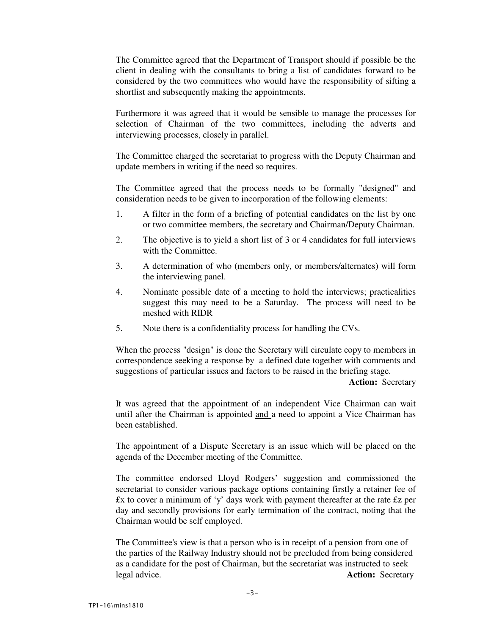The Committee agreed that the Department of Transport should if possible be the client in dealing with the consultants to bring a list of candidates forward to be considered by the two committees who would have the responsibility of sifting a shortlist and subsequently making the appointments.

Furthermore it was agreed that it would be sensible to manage the processes for selection of Chairman of the two committees, including the adverts and interviewing processes, closely in parallel.

The Committee charged the secretariat to progress with the Deputy Chairman and update members in writing if the need so requires.

The Committee agreed that the process needs to be formally "designed" and consideration needs to be given to incorporation of the following elements:

- 1. A filter in the form of a briefing of potential candidates on the list by one or two committee members, the secretary and Chairman/Deputy Chairman.
- 2. The objective is to yield a short list of 3 or 4 candidates for full interviews with the Committee.
- 3. A determination of who (members only, or members/alternates) will form the interviewing panel.
- 4. Nominate possible date of a meeting to hold the interviews; practicalities suggest this may need to be a Saturday. The process will need to be meshed with RIDR
- 5. Note there is a confidentiality process for handling the CVs.

When the process "design" is done the Secretary will circulate copy to members in correspondence seeking a response by a defined date together with comments and suggestions of particular issues and factors to be raised in the briefing stage.

**Action:** Secretary

It was agreed that the appointment of an independent Vice Chairman can wait until after the Chairman is appointed and a need to appoint a Vice Chairman has been established.

The appointment of a Dispute Secretary is an issue which will be placed on the agenda of the December meeting of the Committee.

The committee endorsed Lloyd Rodgers' suggestion and commissioned the secretariat to consider various package options containing firstly a retainer fee of £x to cover a minimum of 'y' days work with payment thereafter at the rate £z per day and secondly provisions for early termination of the contract, noting that the Chairman would be self employed.

The Committee's view is that a person who is in receipt of a pension from one of the parties of the Railway Industry should not be precluded from being considered as a candidate for the post of Chairman, but the secretariat was instructed to seek legal advice. **Action:** Secretary